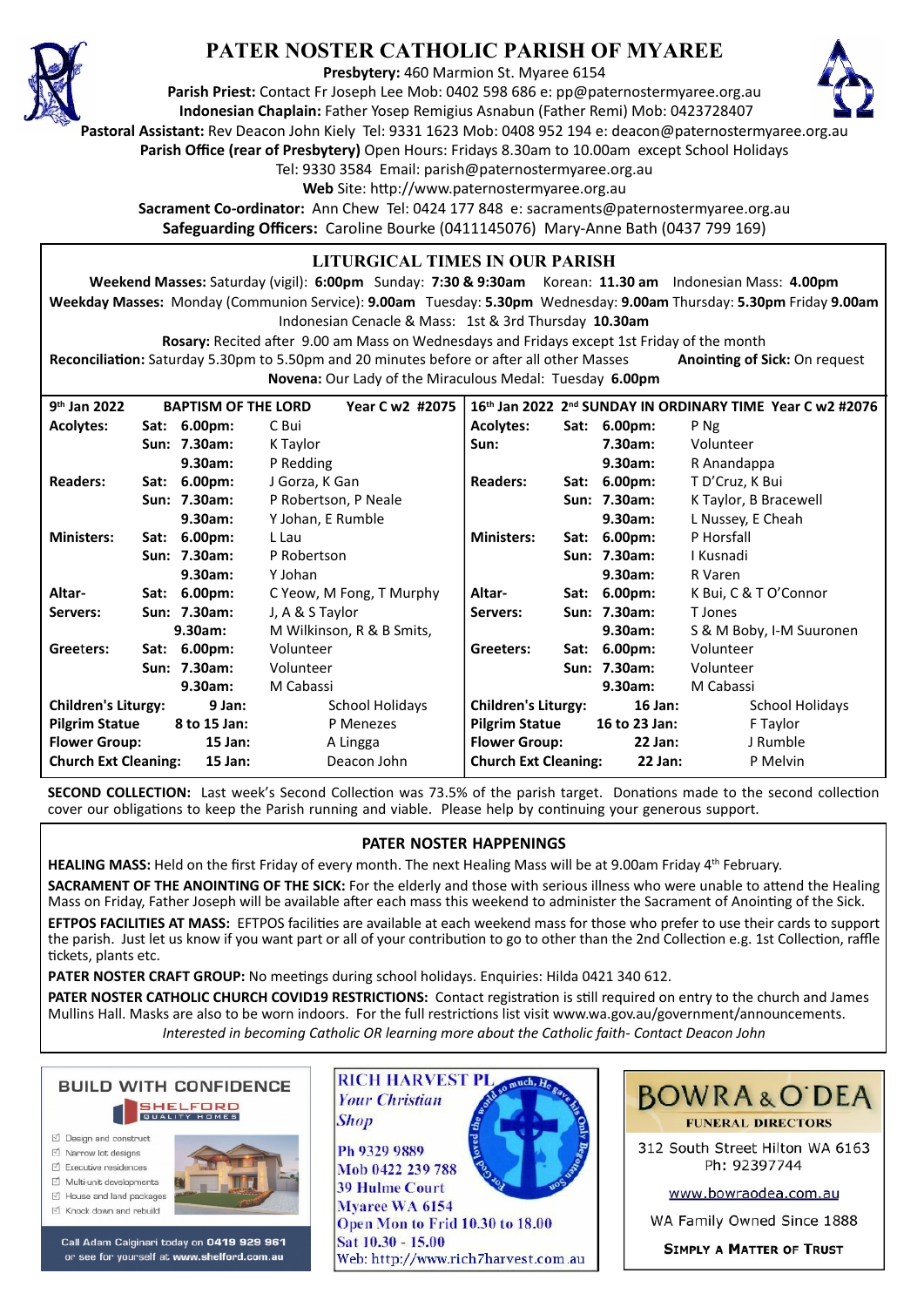

## **PATER NOSTER CATHOLIC PARISH OF MYAREE**

**Presbytery:** 460 Marmion St. Myaree 6154

**Parish Priest:** Contact Fr Joseph Lee Mob: 0402 598 686 e: pp@paternostermyaree.org.au **Indonesian Chaplain:** Father Yosep Remigius Asnabun (Father Remi) Mob: 0423728407



**Pastoral Assistant:** Rev Deacon John Kiely Tel: 9331 1623 Mob: 0408 952 194 e: deacon@paternostermyaree.org.au

**Parish Office (rear of Presbytery)** Open Hours: Fridays 8.30am to 10.00am except School Holidays

Tel: 9330 3584 Email: parish@paternostermyaree.org.au

Web Site: http://www.paternostermyaree.org.au

**Sacrament Co-ordinator:** Ann Chew Tel: 0424 177 848 e: sacraments@paternostermyaree.org.au **Safeguarding Officers:** Caroline Bourke (0411145076) Mary-Anne Bath (0437 799 169)

## **LITURGICAL TIMES IN OUR PARISH**

**Weekend Masses:** Saturday (vigil): **6:00pm** Sunday: **7:30 & 9:30am** Korean: **11.30 am** Indonesian Mass: **4.00pm Weekday Masses:** Monday (Communion Service): **9.00am** Tuesday: **5.30pm** Wednesday: **9.00am** Thursday: **5.30pm** Friday **9.00am** Indonesian Cenacle & Mass: 1st & 3rd Thursday **10.30am**

**Rosary:** Recited a�er 9.00 am Mass on Wednesdays and Fridays except 1st Friday of the month Reconciliation: Saturday 5.30pm to 5.50pm and 20 minutes before or after all other Masses **Anointing of Sick:** On request **Novena:** Our Lady of the Miraculous Medal: Tuesday **6.00pm**

| $9th$ Jan 2022                           | Year C w2 #2075<br><b>BAPTISM OF THE LORD</b> |              |                           | 16th Jan 2022 2nd SUNDAY IN ORDINARY TIME Year C w2 #2076 |      |               |                          |
|------------------------------------------|-----------------------------------------------|--------------|---------------------------|-----------------------------------------------------------|------|---------------|--------------------------|
| <b>Acolytes:</b>                         | Sat:                                          | $6.00pm$ :   | C Bui                     | <b>Acolytes:</b>                                          |      | Sat: 6.00pm:  | P Ng                     |
|                                          |                                               | Sun: 7.30am: | K Taylor                  | Sun:                                                      |      | 7.30am:       | Volunteer                |
|                                          |                                               | 9.30am:      | P Redding                 |                                                           |      | 9.30am:       | R Anandappa              |
| <b>Readers:</b>                          |                                               | Sat: 6.00pm: | J Gorza, K Gan            | <b>Readers:</b>                                           |      | Sat: 6.00pm:  | T D'Cruz, K Bui          |
|                                          |                                               | Sun: 7.30am: | P Robertson, P Neale      |                                                           |      | Sun: 7.30am:  | K Taylor, B Bracewell    |
|                                          |                                               | 9.30am:      | Y Johan, E Rumble         |                                                           |      | 9.30am:       | L Nussey, E Cheah        |
| <b>Ministers:</b>                        | Sat:                                          | $6.00pm$ :   | L Lau                     | <b>Ministers:</b>                                         | Sat: | $6.00pm$ :    | P Horsfall               |
|                                          |                                               | Sun: 7.30am: | P Robertson               |                                                           |      | Sun: 7.30am:  | I Kusnadi                |
|                                          |                                               | 9.30am:      | Y Johan                   |                                                           |      | 9.30am:       | R Varen                  |
| Altar-                                   |                                               | Sat: 6.00pm: | C Yeow, M Fong, T Murphy  | Altar-                                                    |      | Sat: 6.00pm:  | K Bui, C & T O'Connor    |
| Servers:                                 |                                               | Sun: 7.30am: | J, A & S Taylor           | Servers:                                                  |      | Sun: 7.30am:  | T Jones                  |
|                                          |                                               | 9.30am:      | M Wilkinson, R & B Smits, |                                                           |      | 9.30am:       | S & M Boby, I-M Suuronen |
| Greeters:                                |                                               | Sat: 6.00pm: | Volunteer                 | Greeters:                                                 |      | Sat: 6.00pm:  | Volunteer                |
|                                          |                                               | Sun: 7.30am: | Volunteer                 |                                                           |      | Sun: 7.30am:  | Volunteer                |
|                                          |                                               | 9.30am:      | M Cabassi                 |                                                           |      | $9.30$ am:    | M Cabassi                |
| <b>Children's Liturgy:</b><br>9 Jan:     |                                               |              | School Holidays           | <b>Children's Liturgy:</b>                                |      | $16$ Jan:     | School Holidays          |
| <b>Pilgrim Statue</b>                    |                                               | 8 to 15 Jan: | P Menezes                 | <b>Pilgrim Statue</b>                                     |      | 16 to 23 Jan: | F Taylor                 |
| <b>Flower Group:</b>                     |                                               | $15$ Jan:    | A Lingga                  | <b>Flower Group:</b>                                      |      | $22$ Jan:     | J Rumble                 |
| <b>Church Ext Cleaning:</b><br>$15$ Jan: |                                               |              | Deacon John               | <b>Church Ext Cleaning:</b>                               |      | $22$ Jan:     | P Melvin                 |

**SECOND COLLECTION:** Last week's Second Collection was 73.5% of the parish target. Donations made to the second collection cover our obligations to keep the Parish running and viable. Please help by continuing your generous support.

## **PATER NOSTER HAPPENINGS**

**HEALING MASS:** Held on the first Friday of every month. The next Healing Mass will be at 9.00am Friday 4th February.

**SACRAMENT OF THE ANOINTING OF THE SICK:** For the elderly and those with serious illness who were unable to attend the Healing Mass on Friday, Father Joseph will be available after each mass this weekend to administer the Sacrament of Anointing of the Sick. **EFTPOS FACILITIES AT MASS:** EFTPOS facili�es are available at each weekend mass for those who prefer to use their cards to support the parish. Just let us know if you want part or all of your contribution to go to other than the 2nd Collection e.g. 1st Collection, raffle tickets, plants etc.

PATER NOSTER CRAFT GROUP: No meetings during school holidays. Enquiries: Hilda 0421 340 612.

**PATER NOSTER CATHOLIC CHURCH COVID19 RESTRICTIONS:** Contact registration is still required on entry to the church and James Mullins Hall. Masks are also to be worn indoors. For the full restrictions list visit www.wa.gov.au/government/announcements. *Interested in becoming Catholic OR learning more about the Catholic faith- Contact Deacon John*



- □ Design and construct
- $\triangledown$  Narrow lot designe  $\triangledown$  Executive residences
- $\overrightarrow{2}$  Multi-unit developments
- M House and land packages
- ☑ Knock down and rebuild



Call Adam Calginari today on 0419 929 961 or see for yourself at www.shelford.com.au



Mob 0422 239 788 **39 Hulme Court** Myaree WA 6154 Open Mon to Frid 10.30 to 18.00 Sat 10.30 - 15.00 Web: http://www.rich7harvest.com.au



312 South Street Hilton WA 6163 Ph: 92397744

www.bowraodea.com.au

WA Family Owned Since 1888

**SIMPLY A MATTER OF TRUST**